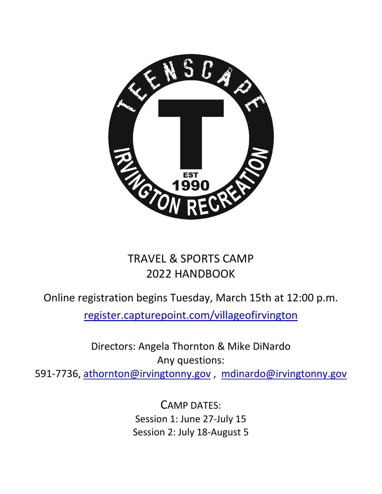

# TRAVEL & SPORTS CAMP 2022 HANDBOOK

Online registration begins Tuesday, March 15th at 12:00 p.m.

register.capturepoint.com/villageofirvington

Directors: Angela Thornton & Mike DiNardo Any questions:

591-7736, [athornton@irvingtonny.gov](mailto:athornton@irvingtonny.gov), [mdinardo@irvingtonny.gov](mailto:mdinardo@irvingtonny.gov)

CAMP DATES: Session 1: June 27-July 15 Session 2: July 18-August 5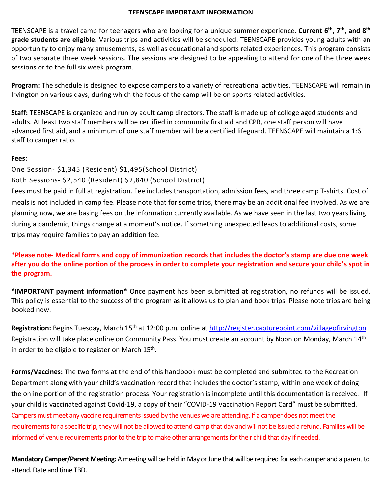#### **TEENSCAPE IMPORTANT INFORMATION**

TEENSCAPE is a travel camp for teenagers who are looking for a unique summer experience. **Current 6th, 7th, and 8th grade students are eligible.** Various trips and activities will be scheduled. TEENSCAPE provides young adults with an opportunity to enjoy many amusements, as well as educational and sports related experiences. This program consists of two separate three week sessions. The sessions are designed to be appealing to attend for one of the three week sessions or to the full six week program.

**Program:** The schedule is designed to expose campers to a variety of recreational activities. TEENSCAPE will remain in Irvington on various days, during which the focus of the camp will be on sports related activities.

**Staff:** TEENSCAPE is organized and run by adult camp directors. The staff is made up of college aged students and adults. At least two staff members will be certified in community first aid and CPR, one staff person will have advanced first aid, and a minimum of one staff member will be a certified lifeguard. TEENSCAPE will maintain a 1:6 staff to camper ratio.

#### **Fees:**

One Session- \$1,345 (Resident) \$1,495(School District) Both Sessions- \$2,540 (Resident) \$2,840 (School District)

Fees must be paid in full at registration. Fee includes transportation, admission fees, and three camp T-shirts. Cost of meals is not included in camp fee. Please note that for some trips, there may be an additional fee involved. As we are planning now, we are basing fees on the information currently available. As we have seen in the last two years living during a pandemic, things change at a moment's notice. If something unexpected leads to additional costs, some trips may require families to pay an addition fee.

**\*Please note- Medical forms and copy of immunization records that includes the doctor's stamp are due one week after you do the online portion of the process in order to complete your registration and secure your child's spot in the program.** 

**\*IMPORTANT payment information\*** Once payment has been submitted at registration, no refunds will be issued. This policy is essential to the success of the program as it allows us to plan and book trips. Please note trips are being booked now.

**Registration:** Begins Tuesday, March 15th at 12:00 p.m. online at<http://register.capturepoint.com/villageofirvington> Registration will take place online on Community Pass. You must create an account by Noon on Monday, March 14<sup>th</sup> in order to be eligible to register on March 15<sup>th</sup>.

**Forms/Vaccines:** The two forms at the end of this handbook must be completed and submitted to the Recreation Department along with your child's vaccination record that includes the doctor's stamp, within one week of doing the online portion of the registration process. Your registration is incomplete until this documentation is received. If your child is vaccinated against Covid-19, a copy of their "COVID-19 Vaccination Report Card" must be submitted. Campers must meet any vaccine requirements issued by the venues we are attending. If a camper does not meet the requirements for a specific trip, they will not be allowed to attend camp that day and will not be issued a refund. Families will be informed of venue requirements prior to the trip to make other arrangements for their child that day if needed.

**Mandatory Camper/Parent Meeting:** A meeting will be held in May or June that will be required for each camper and a parent to attend. Date and time TBD.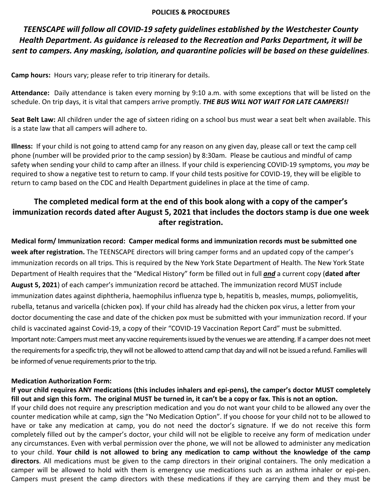#### **POLICIES & PROCEDURES**

*TEENSCAPE will follow all COVID-19 safety guidelines established by the Westchester County Health Department. As guidance is released to the Recreation and Parks Department, it will be sent to campers. Any masking, isolation, and quarantine policies will be based on these guidelines.* 

**Camp hours:** Hours vary; please refer to trip itinerary for details.

**Attendance:** Daily attendance is taken every morning by 9:10 a.m. with some exceptions that will be listed on the schedule. On trip days, it is vital that campers arrive promptly. *THE BUS WILL NOT WAIT FOR LATE CAMPERS!!*

**Seat Belt Law:** All children under the age of sixteen riding on a school bus must wear a seat belt when available. This is a state law that all campers will adhere to.

**Illness:** If your child is not going to attend camp for any reason on any given day, please call or text the camp cell phone (number will be provided prior to the camp session) by 8:30am. Please be cautious and mindful of camp safety when sending your child to camp after an illness. If your child is experiencing COVID-19 symptoms, you *may* be required to show a negative test to return to camp. If your child tests positive for COVID-19, they will be eligible to return to camp based on the CDC and Health Department guidelines in place at the time of camp.

# **The completed medical form at the end of this book along with a copy of the camper's immunization records dated after August 5, 2021 that includes the doctors stamp is due one week after registration.**

**Medical form/ Immunization record: Camper medical forms and immunization records must be submitted one week after registration.** The TEENSCAPE directors will bring camper forms and an updated copy of the camper's immunization records on all trips. This is required by the New York State Department of Health. The New York State Department of Health requires that the "Medical History" form be filled out in full *and* a current copy (**dated after August 5, 2021**) of each camper's immunization record be attached. The immunization record MUST include immunization dates against diphtheria, haemophilus influenza type b, hepatitis b, measles, mumps, poliomyelitis, rubella, tetanus and varicella (chicken pox). If your child has already had the chicken pox virus, a letter from your doctor documenting the case and date of the chicken pox must be submitted with your immunization record. If your child is vaccinated against Covid-19, a copy of their "COVID-19 Vaccination Report Card" must be submitted. Important note: Campers must meet any vaccine requirements issued by the venues we are attending. If a camper does not meet the requirements for a specific trip, they will not be allowed to attend camp that day and will not be issued a refund. Families will be informed of venue requirements prior to the trip.

## **Medication Authorization Form:**

**If your child requires ANY medications (this includes inhalers and epi-pens), the camper's doctor MUST completely fill out and sign this form. The original MUST be turned in, it can't be a copy or fax. This is not an option.**  If your child does not require any prescription medication and you do not want your child to be allowed any over the counter medication while at camp, sign the "No Medication Option". If you choose for your child not to be allowed to have or take any medication at camp, you do not need the doctor's signature. If we do not receive this form completely filled out by the camper's doctor, your child will not be eligible to receive any form of medication under any circumstances. Even with verbal permission over the phone, we will not be allowed to administer any medication to your child. **Your child is not allowed to bring any medication to camp without the knowledge of the camp directors**. All medications must be given to the camp directors in their original containers. The only medication a camper will be allowed to hold with them is emergency use medications such as an asthma inhaler or epi-pen. Campers must present the camp directors with these medications if they are carrying them and they must be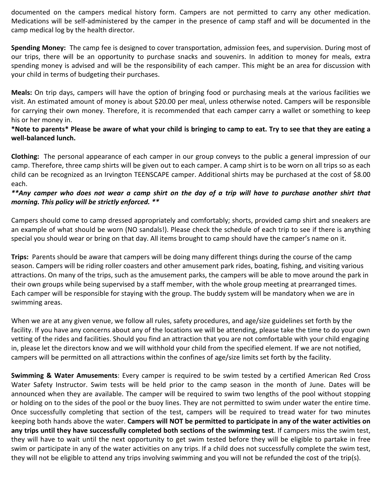documented on the campers medical history form. Campers are not permitted to carry any other medication. Medications will be self-administered by the camper in the presence of camp staff and will be documented in the camp medical log by the health director.

**Spending Money:** The camp fee is designed to cover transportation, admission fees, and supervision. During most of our trips, there will be an opportunity to purchase snacks and souvenirs. In addition to money for meals, extra spending money is advised and will be the responsibility of each camper. This might be an area for discussion with your child in terms of budgeting their purchases.

**Meals:** On trip days, campers will have the option of bringing food or purchasing meals at the various facilities we visit. An estimated amount of money is about \$20.00 per meal, unless otherwise noted. Campers will be responsible for carrying their own money. Therefore, it is recommended that each camper carry a wallet or something to keep his or her money in.

## **\*Note to parents\* Please be aware of what your child is bringing to camp to eat. Try to see that they are eating a well-balanced lunch.**

**Clothing:** The personal appearance of each camper in our group conveys to the public a general impression of our camp. Therefore, three camp shirts will be given out to each camper. A camp shirt is to be worn on all trips so as each child can be recognized as an Irvington TEENSCAPE camper. Additional shirts may be purchased at the cost of \$8.00 each.

## *\*\*Any camper who does not wear a camp shirt on the day of a trip will have to purchase another shirt that morning. This policy will be strictly enforced. \*\**

Campers should come to camp dressed appropriately and comfortably; shorts, provided camp shirt and sneakers are an example of what should be worn (NO sandals!). Please check the schedule of each trip to see if there is anything special you should wear or bring on that day. All items brought to camp should have the camper's name on it.

**Trips:** Parents should be aware that campers will be doing many different things during the course of the camp season. Campers will be riding roller coasters and other amusement park rides, boating, fishing, and visiting various attractions. On many of the trips, such as the amusement parks, the campers will be able to move around the park in their own groups while being supervised by a staff member, with the whole group meeting at prearranged times. Each camper will be responsible for staying with the group. The buddy system will be mandatory when we are in swimming areas.

When we are at any given venue, we follow all rules, safety procedures, and age/size guidelines set forth by the facility. If you have any concerns about any of the locations we will be attending, please take the time to do your own vetting of the rides and facilities. Should you find an attraction that you are not comfortable with your child engaging in, please let the directors know and we will withhold your child from the specified element. If we are not notified, campers will be permitted on all attractions within the confines of age/size limits set forth by the facility.

**Swimming & Water Amusements**: Every camper is required to be swim tested by a certified American Red Cross Water Safety Instructor. Swim tests will be held prior to the camp season in the month of June. Dates will be announced when they are available. The camper will be required to swim two lengths of the pool without stopping or holding on to the sides of the pool or the buoy lines. They are not permitted to swim under water the entire time. Once successfully completing that section of the test, campers will be required to tread water for two minutes keeping both hands above the water. **Campers will NOT be permitted to participate in any of the water activities on any trips until they have successfully completed both sections of the swimming test**. If campers miss the swim test, they will have to wait until the next opportunity to get swim tested before they will be eligible to partake in free swim or participate in any of the water activities on any trips. If a child does not successfully complete the swim test, they will not be eligible to attend any trips involving swimming and you will not be refunded the cost of the trip(s).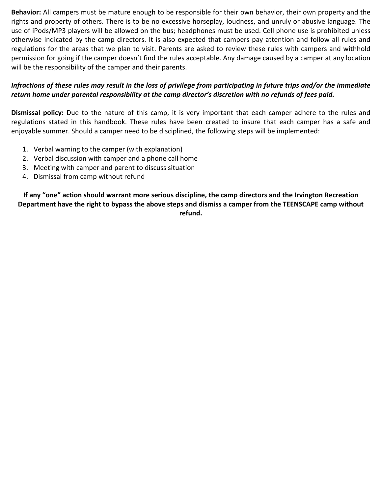**Behavior:** All campers must be mature enough to be responsible for their own behavior, their own property and the rights and property of others. There is to be no excessive horseplay, loudness, and unruly or abusive language. The use of iPods/MP3 players will be allowed on the bus; headphones must be used. Cell phone use is prohibited unless otherwise indicated by the camp directors. It is also expected that campers pay attention and follow all rules and regulations for the areas that we plan to visit. Parents are asked to review these rules with campers and withhold permission for going if the camper doesn't find the rules acceptable. Any damage caused by a camper at any location will be the responsibility of the camper and their parents.

# *Infractions of these rules may result in the loss of privilege from participating in future trips and/or the immediate return home under parental responsibility at the camp director's discretion with no refunds of fees paid.*

**Dismissal policy:** Due to the nature of this camp, it is very important that each camper adhere to the rules and regulations stated in this handbook. These rules have been created to insure that each camper has a safe and enjoyable summer. Should a camper need to be disciplined, the following steps will be implemented:

- 1. Verbal warning to the camper (with explanation)
- 2. Verbal discussion with camper and a phone call home
- 3. Meeting with camper and parent to discuss situation
- 4. Dismissal from camp without refund

**If any "one" action should warrant more serious discipline, the camp directors and the Irvington Recreation Department have the right to bypass the above steps and dismiss a camper from the TEENSCAPE camp without refund.**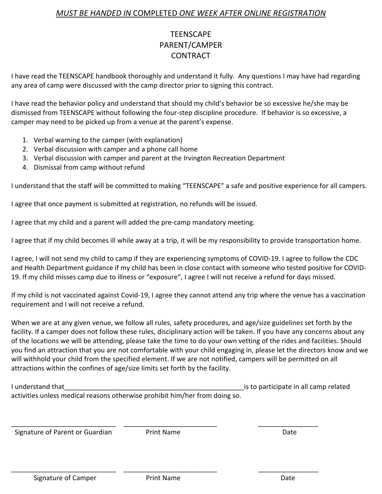# *MUST BE HANDED IN* COMPLETED *ONE WEEK AFTER ONLINE REGISTRATION*

# **TEENSCAPE** PARENT/CAMPER **CONTRACT**

I have read the TEENSCAPE handbook thoroughly and understand it fully. Any questions I may have had regarding any area of camp were discussed with the camp director prior to signing this contract.

I have read the behavior policy and understand that should my child's behavior be so excessive he/she may be dismissed from TEENSCAPE without following the four-step discipline procedure. If behavior is so excessive, a camper may need to be picked up from a venue at the parent's expense.

- 1. Verbal warning to the camper (with explanation)
- 2. Verbal discussion with camper and a phone call home
- 3. Verbal discussion with camper and parent at the Irvington Recreation Department
- 4. Dismissal from camp without refund

I understand that the staff will be committed to making "TEENSCAPE" a safe and positive experience for all campers.

I agree that once payment is submitted at registration, no refunds will be issued.

I agree that my child and a parent will added the pre-camp mandatory meeting.

I agree that if my child becomes ill while away at a trip, it will be my responsibility to provide transportation home.

I agree, I will not send my child to camp if they are experiencing symptoms of COVID-19. I agree to follow the CDC and Health Department guidance if my child has been in close contact with someone who tested positive for COVID-19. If my child misses camp due to illness or "exposure", I agree I will not receive a refund for days missed.

If my child is not vaccinated against Covid-19, I agree they cannot attend any trip where the venue has a vaccination requirement and I will not receive a refund.

When we are at any given venue, we follow all rules, safety procedures, and age/size guidelines set forth by the facility. If a camper does not follow these rules, disciplinary action will be taken. If you have any concerns about any of the locations we will be attending, please take the time to do your own vetting of the rides and facilities. Should you find an attraction that you are not comfortable with your child engaging in, please let the directors know and we will withhold your child from the specified element. If we are not notified, campers will be permitted on all attractions within the confines of age/size limits set forth by the facility.

| I understand that                                                           | is to participate in all camp related |
|-----------------------------------------------------------------------------|---------------------------------------|
| activities unless medical reasons otherwise prohibit him/her from doing so. |                                       |

Signature of Parent or Guardian **Print Name** Print Name

\_\_\_\_\_\_\_\_\_\_\_\_\_\_\_\_\_\_\_\_\_\_\_\_\_\_\_\_ \_\_\_\_\_\_\_\_\_\_\_\_\_\_\_\_\_\_\_\_\_\_\_\_\_ \_\_\_\_\_\_\_\_\_\_\_\_\_\_\_\_

\_\_\_\_\_\_\_\_\_\_\_\_\_\_\_\_\_\_\_\_\_\_\_\_\_\_\_\_ \_\_\_\_\_\_\_\_\_\_\_\_\_\_\_\_\_\_\_\_\_\_\_\_\_ \_\_\_\_\_\_\_\_\_\_\_\_\_\_\_\_